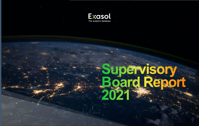

# **Supervisory Board Report 2021**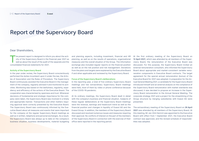## Report of the Supervisory Board

### Dear Shareholders,

The present report is designed to inform you about the acti- vity of the Supervisory Board in the financial year 2021 as well as about the result of the audit of the separate and the consolidated financial statements for 2021.

#### Activity of the Supervisory Board

In the year under review, the Supervisory Board conscientiously performed the duties incumbent upon it under the law, the Articles of Association and the Rules of Procedure. The Supervisory Board continuously assisted the Executive Board in the management of the company, regularly advised it and monitored its activities. Monitoring was based on the lawfulness, regularity, expediency and efficiency of the actions of the Executive Board. The cooperation was characterized by openness and trust. Whenever decisions of fundamental and strategic importance for the company were taken, the Supervisory Board was involved in a timely and appropriate manner. Transactions and other matters requiring approval were correctly presented by the Executive Board. The Supervisory Board was continuously informed by the Executive Board about all measures and events that were important for the company at the regular Supervisory Board meetings as well as in written, telephone and personal exchanges. As a result, the Supervisory Board was always up to date on the company's business situation, business developments, material budgeting

and planning aspects, including investment, financial and HR planning, as well as on the results of operations, organizational measures and the overall situation of the Group. The information exchange also included regular reports on the financial position as well as on the risk position and risk management. Deviations from the plans and targets were explained by the Executive Board if and when applicable and reviewed by the Supervisory Board.

#### Focus of the Supervisory Board's deliberations

In the reporting year, a total of five ordinary Supervisory Board meetings and two extraordinary Supervisory Board meetings were held, most of them by video or phone conference because of the COVID-19 pandemic.

At its ordinary meetings, the Supervisory Board dealt in detail with the company's business and financial situation. Subjects of these regular deliberations at the Supervisory Board meetings were the revenue, earnings and headcount trend as well as the financial position and changes in liquidity of Exasol AG and the Exasol Group. In addition, the members of the Supervisory Board discussed and resolved numerous issues and measures requiring their approval. No conflicts of interest on the part of the members of the Supervisory Board in connection with the exercise of their office were reported in the reporting period.

At the first ordinary meeting of the Supervisory Board on 12 April 2021, which was attended by all members of the Supervisory Board, the remuneration of the Executive Board was discussed. For this purpose, the Supervisory Board invited an external remuneration consultant, who informed the Supervisory Board about appropriate and market-consistent variable remuneration components in Executive Board contracts. The target agreement for the special annual remuneration (bonus) of the Executive Board for 2021 was adopted. In preparation for the Annual General Meeting 2021, a candidate for the Supervisory Board introduced himself and an external analysis on the compliance of the Supervisory Board remuneration with market standards was discussed; it was decided to propose an increase in the Supervisory Board remuneration to the Annual General Meeting. The corporate strategy 2021 and a project for the streamlining of the Group structure by merging subsidiaries with Exasol AG were presented.

The extraordinary meeting of the Supervisory Board on 26 April 2021 was attended by all members of the Supervisory Board. At this meeting, Mr Jan-Dirk Henrich was appointed to the Executive Board with effect from 1 September 2021, the Executive Board contract was approved, and the revised schedule of responsibilities was adopted.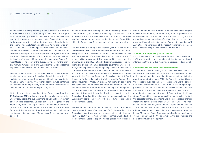At the second ordinary meeting of the Supervisory Board on 10 May 2021, which was attended by all members of the Supervisory Board and by the auditor, the deliberations focused on the audit of the separate and the consolidated financial statements. In the presence of the auditor, the Supervisory Board adopted the separate financial statements of Exasol AG for the period ended 31 December 2020 and approved the consolidated financial statements of Exasol AG for the period ended 31 December 2020. In addition, the Supervisory Board approved the agenda items for the Annual General Meeting of Exasol AG on 30 June 2021 and the holding of the Annual General Meeting as a virtual Annual General Meeting. The report of the Supervisory Board for the financial year 2020 was adopted. The Supervisory Board also resolved to pay out the bonus for 2020 to the Executive Board.

The third ordinary meeting on 30 June 2021, which was attended by all members of the new Supervisory Board elected by the Annual General Meeting, was held as a constituent meeting after the Annual General Meeting. Prof. Jochen Tschunke was confirmed as Chairman of the Supervisory Board, and Mr Karl Hopfner was elected Vice Chairman of the Supervisory Board.

At the fourth ordinary meeting of the Supervisory Board on 21 September 2021, which was attended by all members of the Supervisory Board, the business trend as well as Exasol's patent strategy were presented. Several items on the agenda of the Supervisory Board meeting related to the company's corporate governance. The revised Rules of Procedure for the Executive Board and the Supervisory Board as well as the principles for reimbursement of expenses of Supervisory Board members were adopted.

At the extraordinary meeting of the Supervisory Board on 11 October 2021, which was attended by all members of the Supervisory Board, the Executive Board reported on the organizational and personnel measures decided in the USA and UK, which the Supervisory Board took note of and concurred with.

The last ordinary meeting in the financial year 2021 was held on 15 December 2021. It was attended by all members of the Supervisory Board. At this meeting, Mr Jan-Dirk Henrich was appointed Vice Chairman of the Executive Board and the schedule of responsibilities was adapted. The expected 2021 results and the presentation of the 2022 – 2025 budget were discussed. The deliberations on the company's corporate governance were continued, and a gap analysis regarding compliance with the German Corporate Governance Code, which is not mandatory for Exasol AG due to its listing on the open market, was presented. In agreement with the Executive Board, the Supervisory Board defined the goal of further reducing the deviations from the German Corporate Governance Code. An external remuneration consultant was again consulted on Executive Board remuneration; the consultation focused on the structure of the long-term component of the Executive Board remuneration. In addition, the Supervisory Board discussed the profile of skills and expertise for the Supervisory Board and the objectives for the composition of the Supervisory Board, and resolved the procedure for expanding the Supervisory Board.

Besides the resolutions adopted at meetings, several resolutions were adopted by way of written vote. On 31 January 2021, the Supervisory Board resolved, for example, to terminate the contract of Executive Board member Michael Konrad, who had asked the Supervisory Board to approve his resignation from office before the end of his term of office. In several resolutions adopted by way of written vote, the Supervisory Board approved the is sue and allocation of tranches of the stock option program. The planned mergers of subsidiaries for simplification purposes were presented in detail to the Supervisory Board at the meeting on 12 April 2021. The conclusion

#### Attendance at Supervisory Board meetings

As all meetings of the Supervisory Board in the financial year 2021 were attended by all members of the Supervisory Board, attendance at the individual meetings is not disclosed separately.

#### Separate and consolidated financial statements

At the Annual General Meeting on 30 June 2021, KPMG AG, Wirt schaftsprüfungsgesellschaft, Nuremberg, was appointed auditor<br>of the separate and the consolidated financial statements for the<br>reporting year. On 3 January 2022, the Supervisory Board issued<br>the respective audit assignmen dated financial statements 2021. KPMG AG, Wirtschaftsprüfungs gesellschaft, audited the separate financial statements of Exasol<br>AG and the consolidated financial statements of the Exasol Group<br>as well as the management report of Exasol AG and the Exasol<br>Group. The auditor issued an u cial statements were signed by Markus Zippel and Dr. Joachim Schroff as responsible audit partners. KPMG AG, Wirtschafts prüfungsgesellschaft, stated that the management report of Exasol AG and the Exasol Group accurately reflects the situation of the company and the Group as well as the opportunities and risks of their future development.